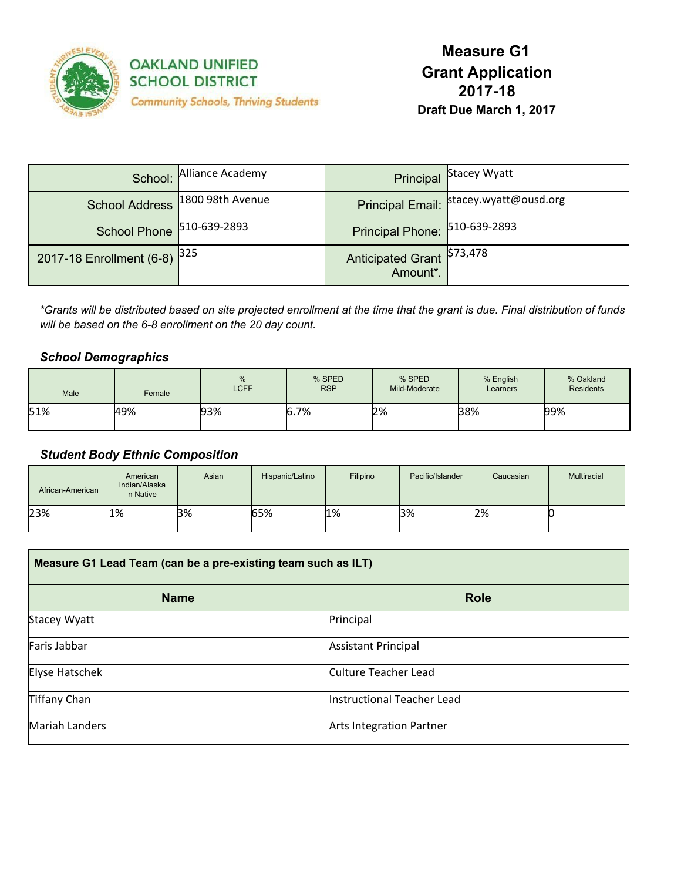

| School:                        | Alliance Academy                |                                        | <b>Principal Stacey Wyatt</b>            |
|--------------------------------|---------------------------------|----------------------------------------|------------------------------------------|
|                                | School Address 1800 98th Avenue |                                        | Principal Email:   stacey.wyatt@ousd.org |
| School Phone 510-639-2893      |                                 | Principal Phone: 510-639-2893          |                                          |
| 2017-18 Enrollment (6-8) $325$ |                                 | Anticipated Grant \$73,478<br>Amount*. |                                          |

\*Grants will be distributed based on site projected enrollment at the time that the grant is due. Final distribution of funds *will be based on the 6-8 enrollment on the 20 day count.*

### *School Demographics*

| Male | Female | %<br><b>LCFF</b> | % SPED<br><b>RSP</b> | % SPED<br>Mild-Moderate | % English<br>Learners | % Oakland<br><b>Residents</b> |
|------|--------|------------------|----------------------|-------------------------|-----------------------|-------------------------------|
| 51%  | 49%    | 93%              | 6.7%                 | 2%                      | 38%                   | 99%                           |

### *Student Body Ethnic Composition*

| African-American | American<br>Indian/Alaska<br>n Native | Asian | Hispanic/Latino | Filipino | Pacific/Islander | Caucasian | Multiracial |
|------------------|---------------------------------------|-------|-----------------|----------|------------------|-----------|-------------|
| 23%              | 1%                                    | 3%    | 65%             | 1%       | 3%               | 2%        |             |

| Measure G1 Lead Team (can be a pre-existing team such as ILT) |                                 |  |  |
|---------------------------------------------------------------|---------------------------------|--|--|
| <b>Name</b>                                                   | <b>Role</b>                     |  |  |
| <b>Stacey Wyatt</b>                                           | Principal                       |  |  |
| Faris Jabbar                                                  | <b>Assistant Principal</b>      |  |  |
| Elyse Hatschek                                                | <b>Culture Teacher Lead</b>     |  |  |
| <b>Tiffany Chan</b>                                           | Instructional Teacher Lead      |  |  |
| <b>Mariah Landers</b>                                         | <b>Arts Integration Partner</b> |  |  |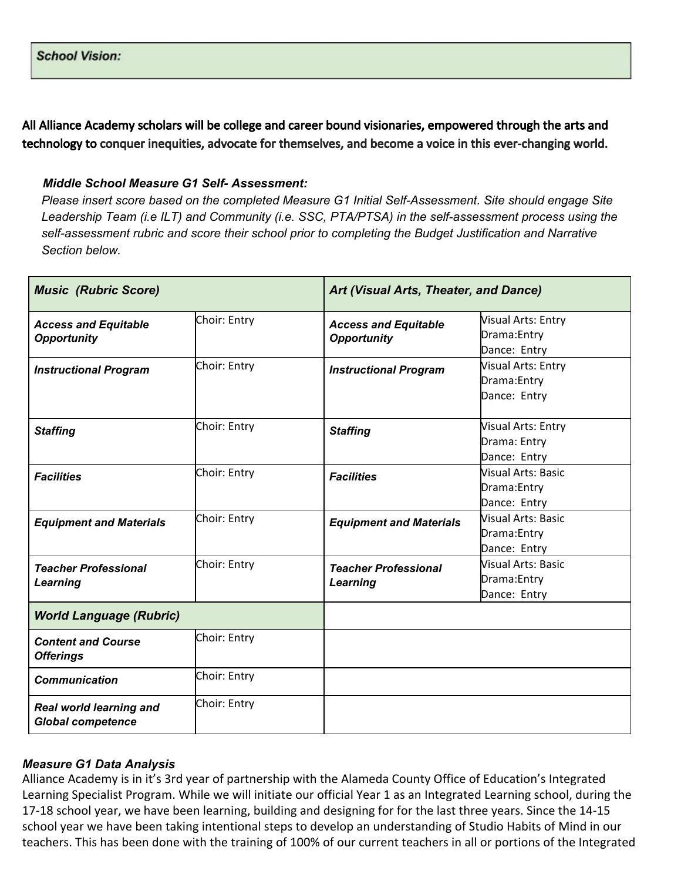All Alliance Academy scholars will be college and career bound visionaries, empowered through the arts and technology to conquer inequities, advocate for themselves, and become a voice in this ever-changing world.

### *Middle School Measure G1 Self- Assessment:*

*Please insert score based on the completed Measure G1 Initial Self-Assessment. Site should engage Site Leadership Team (i.e ILT) and Community (i.e. SSC, PTA/PTSA) in the self-assessment process using the self-assessment rubric and score their school prior to completing the Budget Justification and Narrative Section below.*

| <b>Music (Rubric Score)</b>                         |              | Art (Visual Arts, Theater, and Dance)             |                                                           |
|-----------------------------------------------------|--------------|---------------------------------------------------|-----------------------------------------------------------|
| <b>Access and Equitable</b><br><b>Opportunity</b>   | Choir: Entry | <b>Access and Equitable</b><br><b>Opportunity</b> | <b>Visual Arts: Entry</b><br>Drama: Entry<br>Dance: Entry |
| <b>Instructional Program</b>                        | Choir: Entry | <b>Instructional Program</b>                      | <b>Visual Arts: Entry</b><br>Drama: Entry<br>Dance: Entry |
| <b>Staffing</b>                                     | Choir: Entry | <b>Staffing</b>                                   | <b>Visual Arts: Entry</b><br>Drama: Entry<br>Dance: Entry |
| <b>Facilities</b>                                   | Choir: Entry | <b>Facilities</b>                                 | <b>Nisual Arts: Basic</b><br>Drama: Entry<br>Dance: Entry |
| <b>Equipment and Materials</b>                      | Choir: Entry | <b>Equipment and Materials</b>                    | <b>Visual Arts: Basic</b><br>Drama: Entry<br>Dance: Entry |
| <b>Teacher Professional</b><br>Learning             | Choir: Entry | <b>Teacher Professional</b><br>Learning           | <b>Nisual Arts: Basic</b><br>Drama: Entry<br>Dance: Entry |
| <b>World Language (Rubric)</b>                      |              |                                                   |                                                           |
| <b>Content and Course</b><br><b>Offerings</b>       | Choir: Entry |                                                   |                                                           |
| <b>Communication</b>                                | Choir: Entry |                                                   |                                                           |
| Real world learning and<br><b>Global competence</b> | Choir: Entry |                                                   |                                                           |

### *Measure G1 Data Analysis*

Alliance Academy is in it's 3rd year of partnership with the Alameda County Office of Education's Integrated Learning Specialist Program. While we will initiate our official Year 1 as an Integrated Learning school, during the 17-18 school year, we have been learning, building and designing for for the last three years. Since the 14-15 school year we have been taking intentional steps to develop an understanding of Studio Habits of Mind in our teachers. This has been done with the training of 100% of our current teachers in all or portions of the Integrated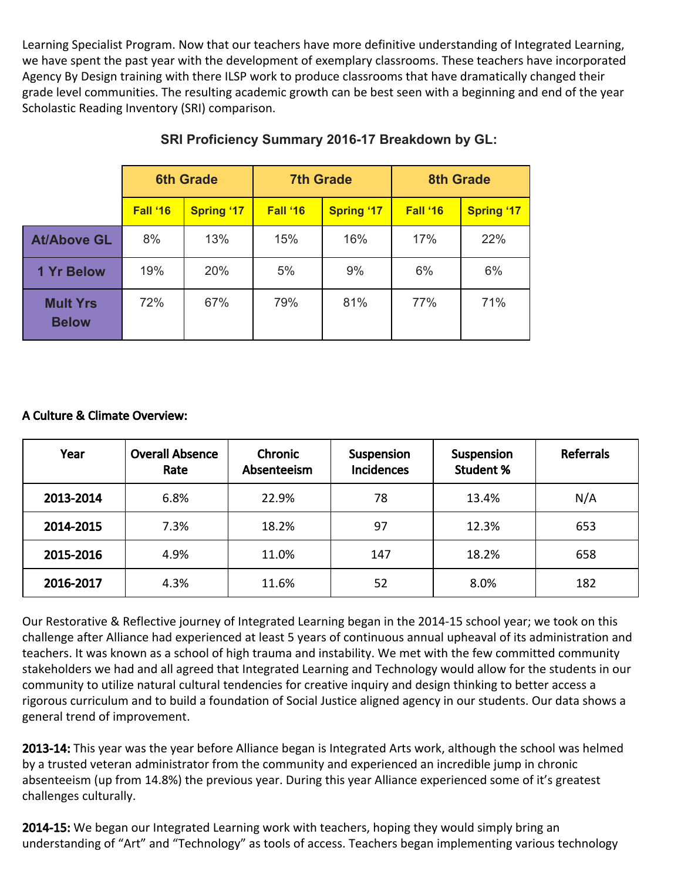Learning Specialist Program. Now that our teachers have more definitive understanding of Integrated Learning, we have spent the past year with the development of exemplary classrooms. These teachers have incorporated Agency By Design training with there ILSP work to produce classrooms that have dramatically changed their grade level communities. The resulting academic growth can be best seen with a beginning and end of the year Scholastic Reading Inventory (SRI) comparison.

|                                 | <b>6th Grade</b> |                   | <b>7th Grade</b> |                   | <b>8th Grade</b> |                   |
|---------------------------------|------------------|-------------------|------------------|-------------------|------------------|-------------------|
|                                 | Fall '16         | <b>Spring '17</b> | Fall '16         | <b>Spring '17</b> | Fall '16         | <b>Spring '17</b> |
| <b>At/Above GL</b>              | 8%               | 13%               | 15%              | 16%               | 17%              | 22%               |
| <b>1 Yr Below</b>               | 19%              | 20%               | 5%               | 9%                | 6%               | 6%                |
| <b>Mult Yrs</b><br><b>Below</b> | 72%              | 67%               | 79%              | 81%               | 77%              | 71%               |

# **SRI Proficiency Summary 2016-17 Breakdown by GL:**

## A Culture & Climate Overview:

| Year      | <b>Overall Absence</b><br>Rate | <b>Chronic</b><br>Absenteeism | Suspension<br><b>Incidences</b> | Suspension<br><b>Student %</b> | <b>Referrals</b> |
|-----------|--------------------------------|-------------------------------|---------------------------------|--------------------------------|------------------|
| 2013-2014 | 6.8%                           | 22.9%                         | 78                              | 13.4%                          | N/A              |
| 2014-2015 | 7.3%                           | 18.2%                         | 97                              | 12.3%                          | 653              |
| 2015-2016 | 4.9%                           | 11.0%                         | 147                             | 18.2%                          | 658              |
| 2016-2017 | 4.3%                           | 11.6%                         | 52                              | 8.0%                           | 182              |

Our Restorative & Reflective journey of Integrated Learning began in the 2014-15 school year; we took on this challenge after Alliance had experienced at least 5 years of continuous annual upheaval of its administration and teachers. It was known as a school of high trauma and instability. We met with the few committed community stakeholders we had and all agreed that Integrated Learning and Technology would allow for the students in our community to utilize natural cultural tendencies for creative inquiry and design thinking to better access a rigorous curriculum and to build a foundation of Social Justice aligned agency in our students. Our data shows a general trend of improvement.

2013-14: This year was the year before Alliance began is Integrated Arts work, although the school was helmed by a trusted veteran administrator from the community and experienced an incredible jump in chronic absenteeism (up from 14.8%) the previous year. During this year Alliance experienced some of it's greatest challenges culturally.

2014-15: We began our Integrated Learning work with teachers, hoping they would simply bring an understanding of "Art" and "Technology" as tools of access. Teachers began implementing various technology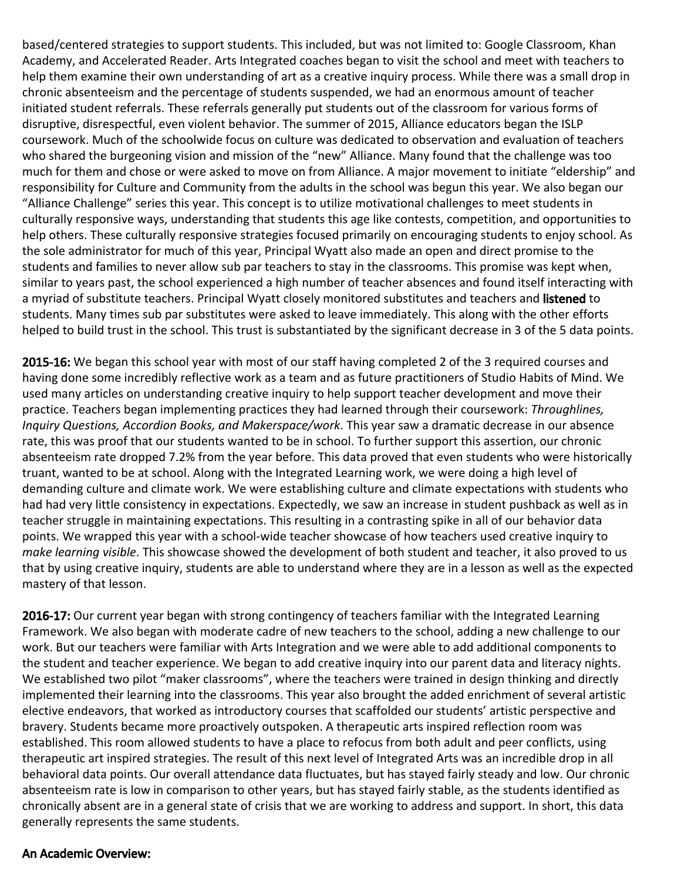based/centered strategies to support students. This included, but was not limited to: Google Classroom, Khan Academy, and Accelerated Reader. Arts Integrated coaches began to visit the school and meet with teachers to help them examine their own understanding of art as a creative inquiry process. While there was a small drop in chronic absenteeism and the percentage of students suspended, we had an enormous amount of teacher initiated student referrals. These referrals generally put students out of the classroom for various forms of disruptive, disrespectful, even violent behavior. The summer of 2015, Alliance educators began the ISLP coursework. Much of the schoolwide focus on culture was dedicated to observation and evaluation of teachers who shared the burgeoning vision and mission of the "new" Alliance. Many found that the challenge was too much for them and chose or were asked to move on from Alliance. A major movement to initiate "eldership" and responsibility for Culture and Community from the adults in the school was begun this year. We also began our "Alliance Challenge" series this year. This concept is to utilize motivational challenges to meet students in culturally responsive ways, understanding that students this age like contests, competition, and opportunities to help others. These culturally responsive strategies focused primarily on encouraging students to enjoy school. As the sole administrator for much of this year, Principal Wyatt also made an open and direct promise to the students and families to never allow sub par teachers to stay in the classrooms. This promise was kept when, similar to years past, the school experienced a high number of teacher absences and found itself interacting with a myriad of substitute teachers. Principal Wyatt closely monitored substitutes and teachers and listened to students. Many times sub par substitutes were asked to leave immediately. This along with the other efforts helped to build trust in the school. This trust is substantiated by the significant decrease in 3 of the 5 data points.

2015-16: We began this school year with most of our staff having completed 2 of the 3 required courses and having done some incredibly reflective work as a team and as future practitioners of Studio Habits of Mind. We used many articles on understanding creative inquiry to help support teacher development and move their practice. Teachers began implementing practices they had learned through their coursework: *Throughlines, Inquiry Questions, Accordion Books, and Makerspace/work*. This year saw a dramatic decrease in our absence rate, this was proof that our students wanted to be in school. To further support this assertion, our chronic absenteeism rate dropped 7.2% from the year before. This data proved that even students who were historically truant, wanted to be at school. Along with the Integrated Learning work, we were doing a high level of demanding culture and climate work. We were establishing culture and climate expectations with students who had had very little consistency in expectations. Expectedly, we saw an increase in student pushback as well as in teacher struggle in maintaining expectations. This resulting in a contrasting spike in all of our behavior data points. We wrapped this year with a school-wide teacher showcase of how teachers used creative inquiry to *make learning visible*. This showcase showed the development of both student and teacher, it also proved to us that by using creative inquiry, students are able to understand where they are in a lesson as well as the expected mastery of that lesson.

2016-17: Our current year began with strong contingency of teachers familiar with the Integrated Learning Framework. We also began with moderate cadre of new teachers to the school, adding a new challenge to our work. But our teachers were familiar with Arts Integration and we were able to add additional components to the student and teacher experience. We began to add creative inquiry into our parent data and literacy nights. We established two pilot "maker classrooms", where the teachers were trained in design thinking and directly implemented their learning into the classrooms. This year also brought the added enrichment of several artistic elective endeavors, that worked as introductory courses that scaffolded our students' artistic perspective and bravery. Students became more proactively outspoken. A therapeutic arts inspired reflection room was established. This room allowed students to have a place to refocus from both adult and peer conflicts, using therapeutic art inspired strategies. The result of this next level of Integrated Arts was an incredible drop in all behavioral data points. Our overall attendance data fluctuates, but has stayed fairly steady and low. Our chronic absenteeism rate is low in comparison to other years, but has stayed fairly stable, as the students identified as chronically absent are in a general state of crisis that we are working to address and support. In short, this data generally represents the same students.

### An Academic Overview: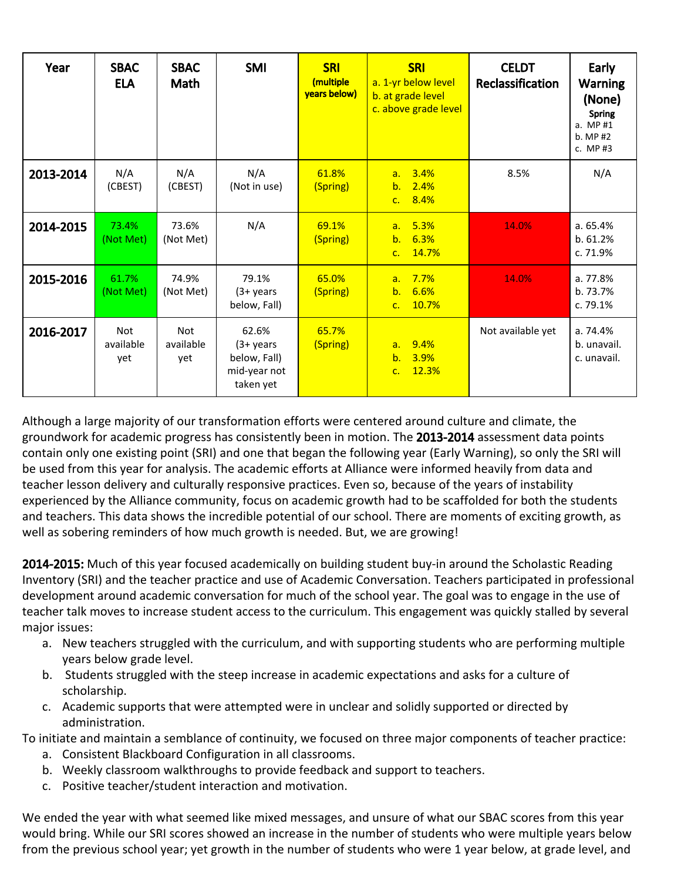| Year      | <b>SBAC</b><br><b>ELA</b>      | <b>SBAC</b><br>Math            | <b>SMI</b>                                                          | <b>SRI</b><br>(multiple<br>vears below) | <b>SRI</b><br>a. 1-yr below level<br>b. at grade level<br>c. above grade level | <b>CELDT</b><br>Reclassification | Early<br><b>Warning</b><br>(None)<br><b>Spring</b><br>a. MP #1<br>b. MP #2<br>c. MP $#3$ |
|-----------|--------------------------------|--------------------------------|---------------------------------------------------------------------|-----------------------------------------|--------------------------------------------------------------------------------|----------------------------------|------------------------------------------------------------------------------------------|
| 2013-2014 | N/A<br>(CBEST)                 | N/A<br>(CBEST)                 | N/A<br>(Not in use)                                                 | 61.8%<br>(Spring)                       | 3.4%<br>a <sub>z</sub><br>2.4%<br>b.<br>8.4%<br>C <sub>1</sub>                 | 8.5%                             | N/A                                                                                      |
| 2014-2015 | 73.4%<br>(Not Met)             | 73.6%<br>(Not Met)             | N/A                                                                 | 69.1%<br>(Spring)                       | 5.3%<br>a <sub>z</sub><br>6.3%<br>b.<br>14.7%<br>C <sub>1</sub>                | 14.0%                            | a.65.4%<br>b. 61.2%<br>c. 71.9%                                                          |
| 2015-2016 | 61.7%<br>(Not Met)             | 74.9%<br>(Not Met)             | 79.1%<br>$(3 + years)$<br>below, Fall)                              | 65.0%<br>(Spring)                       | 7.7%<br>a <sub>z</sub><br>b.<br>6.6%<br>10.7%<br>C <sub>1</sub>                | 14.0%                            | a. 77.8%<br>b. 73.7%<br>c. 79.1%                                                         |
| 2016-2017 | <b>Not</b><br>available<br>yet | <b>Not</b><br>available<br>vet | 62.6%<br>$(3 + years)$<br>below, Fall)<br>mid-year not<br>taken yet | 65.7%<br>(Spring)                       | 9.4%<br>a.<br>b.<br>3.9%<br>12.3%<br>C <sub>1</sub>                            | Not available yet                | a.74.4%<br>b. unavail.<br>c. unavail.                                                    |

Although a large majority of our transformation efforts were centered around culture and climate, the groundwork for academic progress has consistently been in motion. The 2013-2014 assessment data points contain only one existing point (SRI) and one that began the following year (Early Warning), so only the SRI will be used from this year for analysis. The academic efforts at Alliance were informed heavily from data and teacher lesson delivery and culturally responsive practices. Even so, because of the years of instability experienced by the Alliance community, focus on academic growth had to be scaffolded for both the students and teachers. This data shows the incredible potential of our school. There are moments of exciting growth, as well as sobering reminders of how much growth is needed. But, we are growing!

2014-2015: Much of this year focused academically on building student buy-in around the Scholastic Reading Inventory (SRI) and the teacher practice and use of Academic Conversation. Teachers participated in professional development around academic conversation for much of the school year. The goal was to engage in the use of teacher talk moves to increase student access to the curriculum. This engagement was quickly stalled by several major issues:

- a. New teachers struggled with the curriculum, and with supporting students who are performing multiple years below grade level.
- b. Students struggled with the steep increase in academic expectations and asks for a culture of scholarship.
- c. Academic supports that were attempted were in unclear and solidly supported or directed by administration.

To initiate and maintain a semblance of continuity, we focused on three major components of teacher practice:

- a. Consistent Blackboard Configuration in all classrooms.
- b. Weekly classroom walkthroughs to provide feedback and support to teachers.
- c. Positive teacher/student interaction and motivation.

We ended the year with what seemed like mixed messages, and unsure of what our SBAC scores from this year would bring. While our SRI scores showed an increase in the number of students who were multiple years below from the previous school year; yet growth in the number of students who were 1 year below, at grade level, and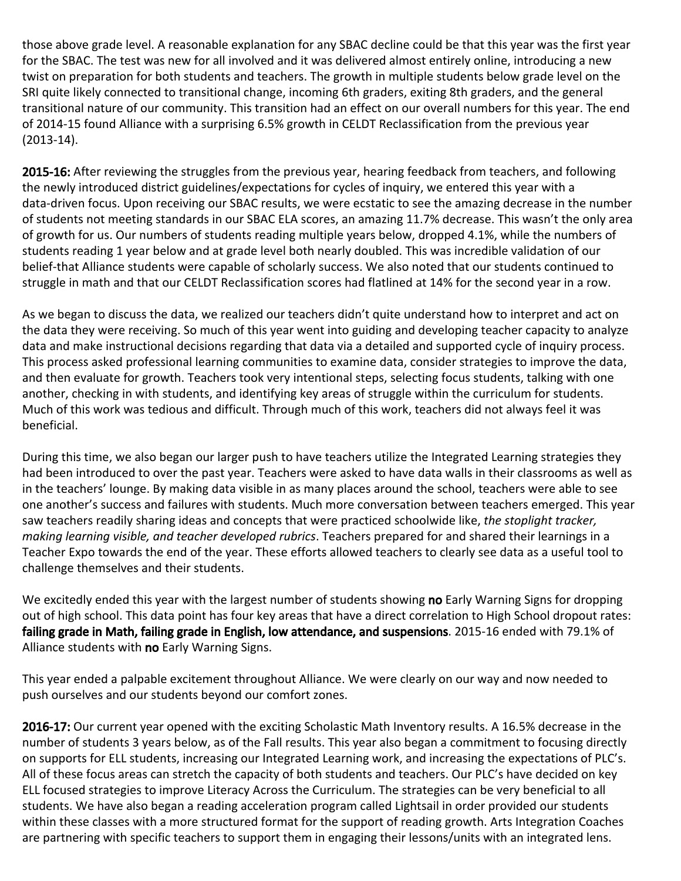those above grade level. A reasonable explanation for any SBAC decline could be that this year was the first year for the SBAC. The test was new for all involved and it was delivered almost entirely online, introducing a new twist on preparation for both students and teachers. The growth in multiple students below grade level on the SRI quite likely connected to transitional change, incoming 6th graders, exiting 8th graders, and the general transitional nature of our community. This transition had an effect on our overall numbers for this year. The end of 2014-15 found Alliance with a surprising 6.5% growth in CELDT Reclassification from the previous year (2013-14).

2015-16: After reviewing the struggles from the previous year, hearing feedback from teachers, and following the newly introduced district guidelines/expectations for cycles of inquiry, we entered this year with a data-driven focus. Upon receiving our SBAC results, we were ecstatic to see the amazing decrease in the number of students not meeting standards in our SBAC ELA scores, an amazing 11.7% decrease. This wasn't the only area of growth for us. Our numbers of students reading multiple years below, dropped 4.1%, while the numbers of students reading 1 year below and at grade level both nearly doubled. This was incredible validation of our belief-that Alliance students were capable of scholarly success. We also noted that our students continued to struggle in math and that our CELDT Reclassification scores had flatlined at 14% for the second year in a row.

As we began to discuss the data, we realized our teachers didn't quite understand how to interpret and act on the data they were receiving. So much of this year went into guiding and developing teacher capacity to analyze data and make instructional decisions regarding that data via a detailed and supported cycle of inquiry process. This process asked professional learning communities to examine data, consider strategies to improve the data, and then evaluate for growth. Teachers took very intentional steps, selecting focus students, talking with one another, checking in with students, and identifying key areas of struggle within the curriculum for students. Much of this work was tedious and difficult. Through much of this work, teachers did not always feel it was beneficial.

During this time, we also began our larger push to have teachers utilize the Integrated Learning strategies they had been introduced to over the past year. Teachers were asked to have data walls in their classrooms as well as in the teachers' lounge. By making data visible in as many places around the school, teachers were able to see one another's success and failures with students. Much more conversation between teachers emerged. This year saw teachers readily sharing ideas and concepts that were practiced schoolwide like, *the stoplight tracker, making learning visible, and teacher developed rubrics*. Teachers prepared for and shared their learnings in a Teacher Expo towards the end of the year. These efforts allowed teachers to clearly see data as a useful tool to challenge themselves and their students.

We excitedly ended this year with the largest number of students showing no Early Warning Signs for dropping out of high school. This data point has four key areas that have a direct correlation to High School dropout rates: failing grade in Math, failing grade in English, low attendance, and suspensions. 2015-16 ended with 79.1% of Alliance students with no Early Warning Signs.

This year ended a palpable excitement throughout Alliance. We were clearly on our way and now needed to push ourselves and our students beyond our comfort zones.

2016-17: Our current year opened with the exciting Scholastic Math Inventory results. A 16.5% decrease in the number of students 3 years below, as of the Fall results. This year also began a commitment to focusing directly on supports for ELL students, increasing our Integrated Learning work, and increasing the expectations of PLC's. All of these focus areas can stretch the capacity of both students and teachers. Our PLC's have decided on key ELL focused strategies to improve Literacy Across the Curriculum. The strategies can be very beneficial to all students. We have also began a reading acceleration program called Lightsail in order provided our students within these classes with a more structured format for the support of reading growth. Arts Integration Coaches are partnering with specific teachers to support them in engaging their lessons/units with an integrated lens.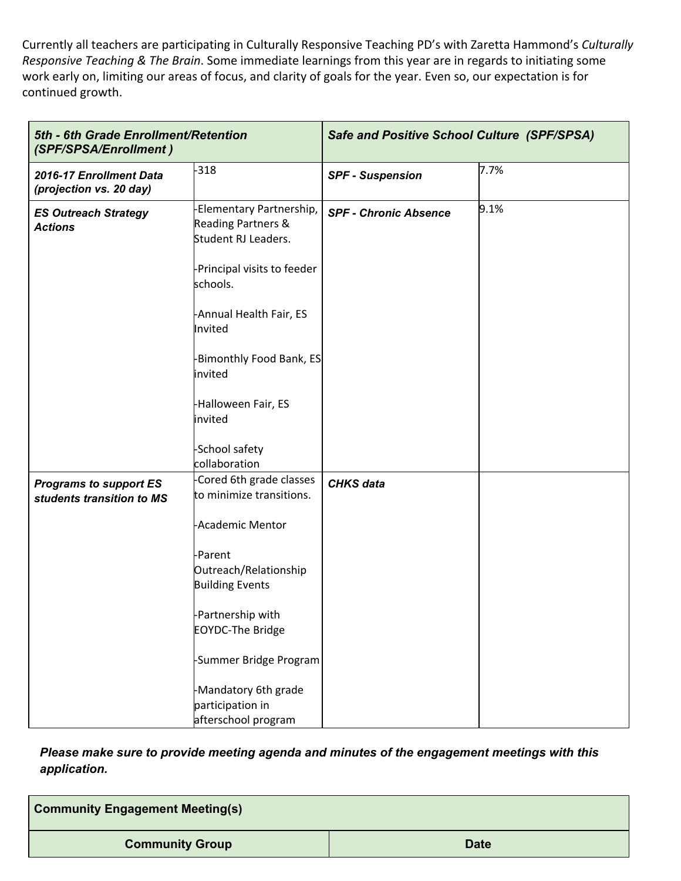Currently all teachers are participating in Culturally Responsive Teaching PD's with Zaretta Hammond's *Culturally Responsive Teaching & The Brain*. Some immediate learnings from this year are in regards to initiating some work early on, limiting our areas of focus, and clarity of goals for the year. Even so, our expectation is for continued growth.

| 5th - 6th Grade Enrollment/Retention<br>(SPF/SPSA/Enrollment) |                                                                       | <b>Safe and Positive School Culture (SPF/SPSA)</b> |      |
|---------------------------------------------------------------|-----------------------------------------------------------------------|----------------------------------------------------|------|
| 2016-17 Enrollment Data<br>(projection vs. 20 day)            | $-318$                                                                | <b>SPF - Suspension</b>                            | 7.7% |
| <b>ES Outreach Strategy</b><br><b>Actions</b>                 | -Elementary Partnership,<br>Reading Partners &<br>Student RJ Leaders. | <b>SPF - Chronic Absence</b>                       | 9.1% |
|                                                               | -Principal visits to feeder<br>schools.                               |                                                    |      |
|                                                               | -Annual Health Fair, ES<br>Invited                                    |                                                    |      |
|                                                               | -Bimonthly Food Bank, ES<br>invited                                   |                                                    |      |
|                                                               | -Halloween Fair, ES<br>invited                                        |                                                    |      |
|                                                               | -School safety<br>collaboration                                       |                                                    |      |
| <b>Programs to support ES</b><br>students transition to MS    | Cored 6th grade classes<br>to minimize transitions.                   | <b>CHKS</b> data                                   |      |
|                                                               | -Academic Mentor                                                      |                                                    |      |
|                                                               | -Parent<br>Outreach/Relationship<br><b>Building Events</b>            |                                                    |      |
|                                                               | -Partnership with<br><b>EOYDC-The Bridge</b>                          |                                                    |      |
|                                                               | -Summer Bridge Program                                                |                                                    |      |
|                                                               | -Mandatory 6th grade<br>participation in<br>afterschool program       |                                                    |      |

*Please make sure to provide meeting agenda and minutes of the engagement meetings with this application.*

| <b>Community Engagement Meeting(s)</b> |             |
|----------------------------------------|-------------|
| <b>Community Group</b>                 | <b>Date</b> |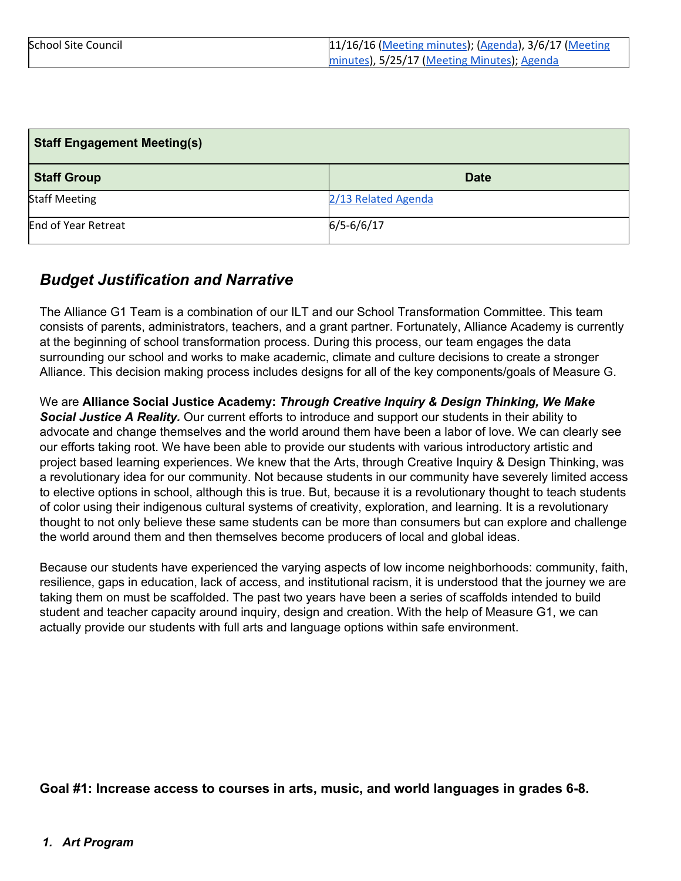| <b>School Site Council</b> | 11/16/16 (Meeting minutes); (Agenda), 3/6/17 (Meeting |
|----------------------------|-------------------------------------------------------|
|                            | minutes), 5/25/17 (Meeting Minutes), Agenda           |

| <b>Staff Engagement Meeting(s)</b> |                     |  |
|------------------------------------|---------------------|--|
| <b>Staff Group</b>                 | <b>Date</b>         |  |
| <b>Staff Meeting</b>               | 2/13 Related Agenda |  |
| End of Year Retreat                | $6/5 - 6/6/17$      |  |

# *Budget Justification and Narrative*

The Alliance G1 Team is a combination of our ILT and our School Transformation Committee. This team consists of parents, administrators, teachers, and a grant partner. Fortunately, Alliance Academy is currently at the beginning of school transformation process. During this process, our team engages the data surrounding our school and works to make academic, climate and culture decisions to create a stronger Alliance. This decision making process includes designs for all of the key components/goals of Measure G.

We are **Alliance Social Justice Academy:** *Through Creative Inquiry & Design Thinking, We Make Social Justice A Reality.* Our current efforts to introduce and support our students in their ability to advocate and change themselves and the world around them have been a labor of love. We can clearly see our efforts taking root. We have been able to provide our students with various introductory artistic and project based learning experiences. We knew that the Arts, through Creative Inquiry & Design Thinking, was a revolutionary idea for our community. Not because students in our community have severely limited access to elective options in school, although this is true. But, because it is a revolutionary thought to teach students of color using their indigenous cultural systems of creativity, exploration, and learning. It is a revolutionary thought to not only believe these same students can be more than consumers but can explore and challenge the world around them and then themselves become producers of local and global ideas.

Because our students have experienced the varying aspects of low income neighborhoods: community, faith, resilience, gaps in education, lack of access, and institutional racism, it is understood that the journey we are taking them on must be scaffolded. The past two years have been a series of scaffolds intended to build student and teacher capacity around inquiry, design and creation. With the help of Measure G1, we can actually provide our students with full arts and language options within safe environment.

**Goal #1: Increase access to courses in arts, music, and world languages in grades 6-8.**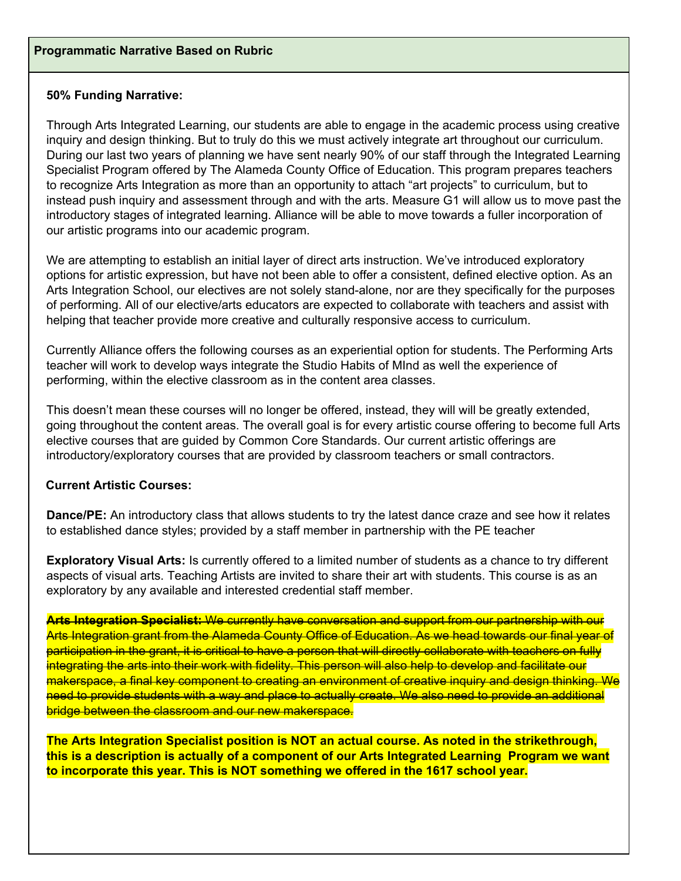### **50% Funding Narrative:**

Through Arts Integrated Learning, our students are able to engage in the academic process using creative inquiry and design thinking. But to truly do this we must actively integrate art throughout our curriculum. During our last two years of planning we have sent nearly 90% of our staff through the Integrated Learning Specialist Program offered by The Alameda County Office of Education. This program prepares teachers to recognize Arts Integration as more than an opportunity to attach "art projects" to curriculum, but to instead push inquiry and assessment through and with the arts. Measure G1 will allow us to move past the introductory stages of integrated learning. Alliance will be able to move towards a fuller incorporation of our artistic programs into our academic program.

We are attempting to establish an initial layer of direct arts instruction. We've introduced exploratory options for artistic expression, but have not been able to offer a consistent, defined elective option. As an Arts Integration School, our electives are not solely stand-alone, nor are they specifically for the purposes of performing. All of our elective/arts educators are expected to collaborate with teachers and assist with helping that teacher provide more creative and culturally responsive access to curriculum.

Currently Alliance offers the following courses as an experiential option for students. The Performing Arts teacher will work to develop ways integrate the Studio Habits of MInd as well the experience of performing, within the elective classroom as in the content area classes.

This doesn't mean these courses will no longer be offered, instead, they will will be greatly extended, going throughout the content areas. The overall goal is for every artistic course offering to become full Arts elective courses that are guided by Common Core Standards. Our current artistic offerings are introductory/exploratory courses that are provided by classroom teachers or small contractors.

### **Current Artistic Courses:**

**Dance/PE:** An introductory class that allows students to try the latest dance craze and see how it relates to established dance styles; provided by a staff member in partnership with the PE teacher

**Exploratory Visual Arts:** Is currently offered to a limited number of students as a chance to try different aspects of visual arts. Teaching Artists are invited to share their art with students. This course is as an exploratory by any available and interested credential staff member.

**Arts Integration Specialist:** We currently have conversation and support from our partnership with our Arts Integration grant from the Alameda County Office of Education. As we head towards our final year of participation in the grant, it is critical to have a person that will directly collaborate with teachers on fully integrating the arts into their work with fidelity. This person will also help to develop and facilitate our makerspace, a final key component to creating an environment of creative inquiry and design thinking. We need to provide students with a way and place to actually create. We also need to provide an additional bridge between the classroom and our new makerspace.

**The Arts Integration Specialist position is NOT an actual course. As noted in the strikethrough, this is a description is actually of a component of our Arts Integrated Learning Program we want to incorporate this year. This is NOT something we offered in the 1617 school year.**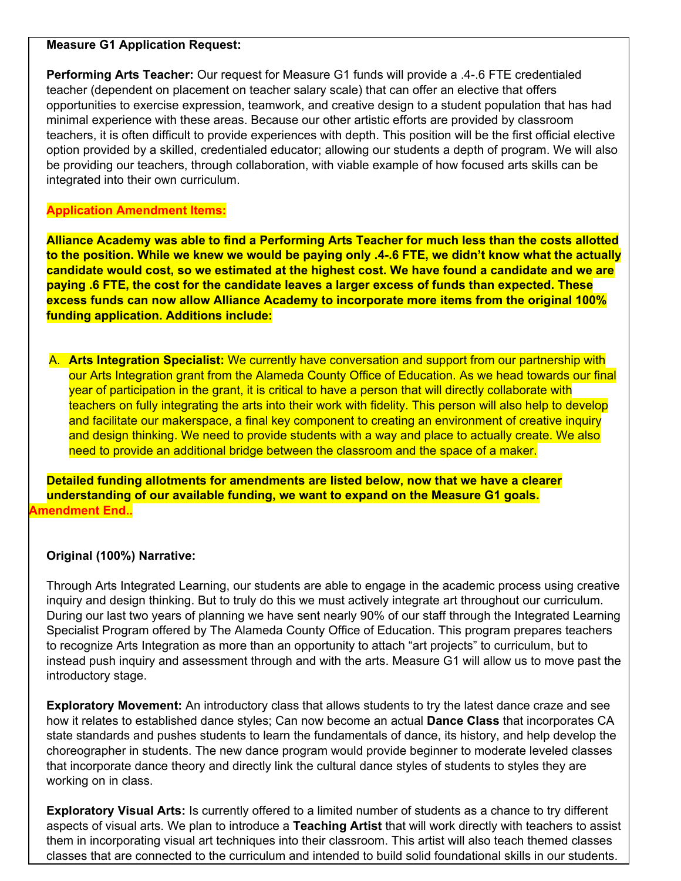#### **Measure G1 Application Request:**

**Performing Arts Teacher:** Our request for Measure G1 funds will provide a .4-.6 FTE credentialed teacher (dependent on placement on teacher salary scale) that can offer an elective that offers opportunities to exercise expression, teamwork, and creative design to a student population that has had minimal experience with these areas. Because our other artistic efforts are provided by classroom teachers, it is often difficult to provide experiences with depth. This position will be the first official elective option provided by a skilled, credentialed educator; allowing our students a depth of program. We will also be providing our teachers, through collaboration, with viable example of how focused arts skills can be integrated into their own curriculum.

### **Application Amendment Items:**

**Alliance Academy was able to find a Performing Arts Teacher for much less than the costs allotted** to the position. While we knew we would be paying only .4-.6 FTE, we didn't know what the actually **candidate would cost, so we estimated at the highest cost. We have found a candidate and we are paying .6 FTE, the cost for the candidate leaves a larger excess of funds than expected. These excess funds can now allow Alliance Academy to incorporate more items from the original 100% funding application. Additions include:**

A. **Arts Integration Specialist:** We currently have conversation and support from our partnership with our Arts Integration grant from the Alameda County Office of Education. As we head towards our final year of participation in the grant, it is critical to have a person that will directly collaborate with teachers on fully integrating the arts into their work with fidelity. This person will also help to develop and facilitate our makerspace, a final key component to creating an environment of creative inquiry and design thinking. We need to provide students with a way and place to actually create. We also need to provide an additional bridge between the classroom and the space of a maker.

**Detailed funding allotments for amendments are listed below, now that we have a clearer understanding of our available funding, we want to expand on the Measure G1 goals. Amendment End..**

### **Original (100%) Narrative:**

Through Arts Integrated Learning, our students are able to engage in the academic process using creative inquiry and design thinking. But to truly do this we must actively integrate art throughout our curriculum. During our last two years of planning we have sent nearly 90% of our staff through the Integrated Learning Specialist Program offered by The Alameda County Office of Education. This program prepares teachers to recognize Arts Integration as more than an opportunity to attach "art projects" to curriculum, but to instead push inquiry and assessment through and with the arts. Measure G1 will allow us to move past the introductory stage.

**Exploratory Movement:** An introductory class that allows students to try the latest dance craze and see how it relates to established dance styles; Can now become an actual **Dance Class** that incorporates CA state standards and pushes students to learn the fundamentals of dance, its history, and help develop the choreographer in students. The new dance program would provide beginner to moderate leveled classes that incorporate dance theory and directly link the cultural dance styles of students to styles they are working on in class.

**Exploratory Visual Arts:** Is currently offered to a limited number of students as a chance to try different aspects of visual arts. We plan to introduce a **Teaching Artist** that will work directly with teachers to assist them in incorporating visual art techniques into their classroom. This artist will also teach themed classes classes that are connected to the curriculum and intended to build solid foundational skills in our students.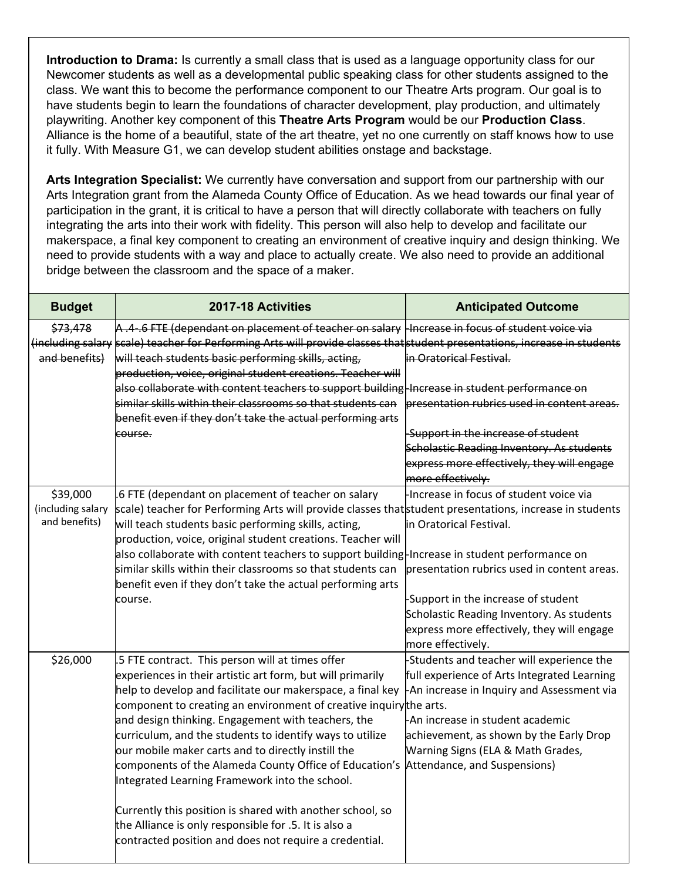**Introduction to Drama:** Is currently a small class that is used as a language opportunity class for our Newcomer students as well as a developmental public speaking class for other students assigned to the class. We want this to become the performance component to our Theatre Arts program. Our goal is to have students begin to learn the foundations of character development, play production, and ultimately playwriting. Another key component of this **Theatre Arts Program** would be our **Production Class**. Alliance is the home of a beautiful, state of the art theatre, yet no one currently on staff knows how to use it fully. With Measure G1, we can develop student abilities onstage and backstage.

**Arts Integration Specialist:** We currently have conversation and support from our partnership with our Arts Integration grant from the Alameda County Office of Education. As we head towards our final year of participation in the grant, it is critical to have a person that will directly collaborate with teachers on fully integrating the arts into their work with fidelity. This person will also help to develop and facilitate our makerspace, a final key component to creating an environment of creative inquiry and design thinking. We need to provide students with a way and place to actually create. We also need to provide an additional bridge between the classroom and the space of a maker.

| <b>Budget</b>     | 2017-18 Activities                                                                                                         | <b>Anticipated Outcome</b>                                                               |
|-------------------|----------------------------------------------------------------------------------------------------------------------------|------------------------------------------------------------------------------------------|
| \$73,478          | A.4.6 FTE (dependant on placement of teacher on salary   Increase in focus of student voice via                            |                                                                                          |
|                   | (including salary scale) teacher for Performing Arts will provide classes that student presentations, increase in students |                                                                                          |
| and benefits)     | will teach students basic performing skills, acting,                                                                       | in Oratorical Festival.                                                                  |
|                   | production, voice, original student creations. Teacher will                                                                |                                                                                          |
|                   | also collaborate with content teachers to support building   Increase in student performance on                            |                                                                                          |
|                   | similar skills within their classrooms so that students can                                                                | presentation rubrics used in content areas.                                              |
|                   | benefit even if they don't take the actual performing arts                                                                 |                                                                                          |
|                   | course.                                                                                                                    | Support in the increase of student                                                       |
|                   |                                                                                                                            | Scholastic Reading Inventory. As students                                                |
|                   |                                                                                                                            | express more effectively, they will engage                                               |
|                   |                                                                                                                            | more effectively.                                                                        |
| \$39,000          | .6 FTE (dependant on placement of teacher on salary                                                                        | Increase in focus of student voice via                                                   |
| (including salary | scale) teacher for Performing Arts will provide classes thatstudent presentations, increase in students                    |                                                                                          |
| and benefits)     | will teach students basic performing skills, acting,                                                                       | in Oratorical Festival.                                                                  |
|                   | production, voice, original student creations. Teacher will                                                                |                                                                                          |
|                   | also collaborate with content teachers to support building-Increase in student performance on                              |                                                                                          |
|                   | similar skills within their classrooms so that students can                                                                | presentation rubrics used in content areas.                                              |
|                   | benefit even if they don't take the actual performing arts                                                                 |                                                                                          |
|                   | course.                                                                                                                    | -Support in the increase of student                                                      |
|                   |                                                                                                                            | Scholastic Reading Inventory. As students                                                |
|                   |                                                                                                                            | express more effectively, they will engage                                               |
| \$26,000          |                                                                                                                            | more effectively.                                                                        |
|                   | .5 FTE contract. This person will at times offer                                                                           | -Students and teacher will experience the<br>full experience of Arts Integrated Learning |
|                   | experiences in their artistic art form, but will primarily<br>help to develop and facilitate our makerspace, a final key   | -An increase in Inquiry and Assessment via                                               |
|                   | component to creating an environment of creative inquirythe arts.                                                          |                                                                                          |
|                   | and design thinking. Engagement with teachers, the                                                                         | -An increase in student academic                                                         |
|                   | curriculum, and the students to identify ways to utilize                                                                   | achievement, as shown by the Early Drop                                                  |
|                   | our mobile maker carts and to directly instill the                                                                         | Warning Signs (ELA & Math Grades,                                                        |
|                   | components of the Alameda County Office of Education's                                                                     | Attendance, and Suspensions)                                                             |
|                   | Integrated Learning Framework into the school.                                                                             |                                                                                          |
|                   |                                                                                                                            |                                                                                          |
|                   | Currently this position is shared with another school, so                                                                  |                                                                                          |
|                   | the Alliance is only responsible for .5. It is also a                                                                      |                                                                                          |
|                   | contracted position and does not require a credential.                                                                     |                                                                                          |
|                   |                                                                                                                            |                                                                                          |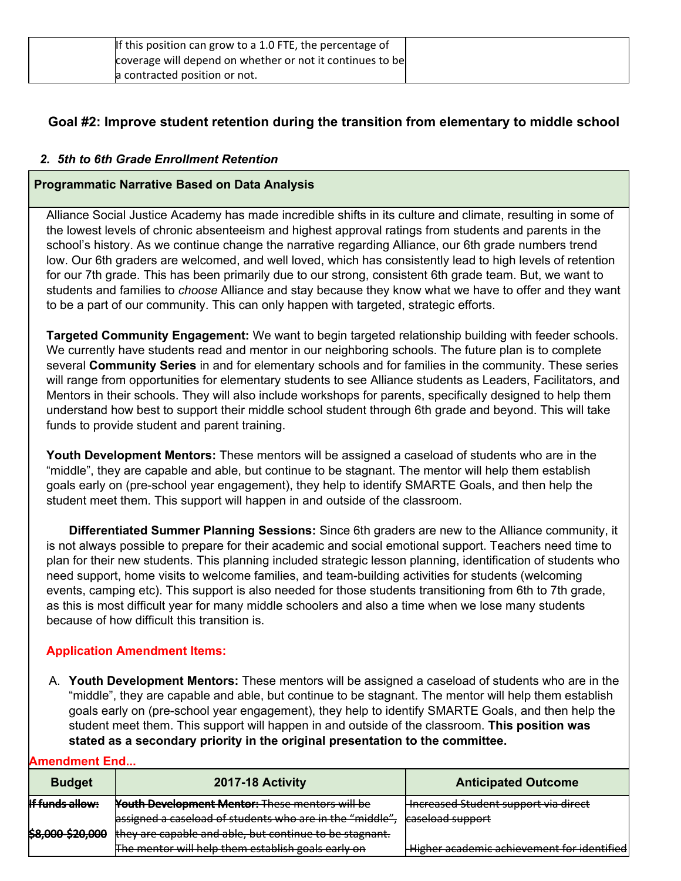| If this position can grow to a 1.0 FTE, the percentage of |
|-----------------------------------------------------------|
| coverage will depend on whether or not it continues to be |
| a contracted position or not.                             |

# **Goal #2: Improve student retention during the transition from elementary to middle school**

### *2. 5th to 6th Grade Enrollment Retention*

### **Programmatic Narrative Based on Data Analysis**

Alliance Social Justice Academy has made incredible shifts in its culture and climate, resulting in some of the lowest levels of chronic absenteeism and highest approval ratings from students and parents in the school's history. As we continue change the narrative regarding Alliance, our 6th grade numbers trend low. Our 6th graders are welcomed, and well loved, which has consistently lead to high levels of retention for our 7th grade. This has been primarily due to our strong, consistent 6th grade team. But, we want to students and families to *choose* Alliance and stay because they know what we have to offer and they want to be a part of our community. This can only happen with targeted, strategic efforts.

**Targeted Community Engagement:** We want to begin targeted relationship building with feeder schools. We currently have students read and mentor in our neighboring schools. The future plan is to complete several **Community Series** in and for elementary schools and for families in the community. These series will range from opportunities for elementary students to see Alliance students as Leaders, Facilitators, and Mentors in their schools. They will also include workshops for parents, specifically designed to help them understand how best to support their middle school student through 6th grade and beyond. This will take funds to provide student and parent training.

**Youth Development Mentors:** These mentors will be assigned a caseload of students who are in the "middle", they are capable and able, but continue to be stagnant. The mentor will help them establish goals early on (pre-school year engagement), they help to identify SMARTE Goals, and then help the student meet them. This support will happen in and outside of the classroom.

**Differentiated Summer Planning Sessions:** Since 6th graders are new to the Alliance community, it is not always possible to prepare for their academic and social emotional support. Teachers need time to plan for their new students. This planning included strategic lesson planning, identification of students who need support, home visits to welcome families, and team-building activities for students (welcoming events, camping etc). This support is also needed for those students transitioning from 6th to 7th grade, as this is most difficult year for many middle schoolers and also a time when we lose many students because of how difficult this transition is.

### **Application Amendment Items:**

A. **Youth Development Mentors:** These mentors will be assigned a caseload of students who are in the "middle", they are capable and able, but continue to be stagnant. The mentor will help them establish goals early on (pre-school year engagement), they help to identify SMARTE Goals, and then help the student meet them. This support will happen in and outside of the classroom. **This position was stated as a secondary priority in the original presentation to the committee.**

### **Amendment End...**

| <b>Budget</b>          | 2017-18 Activity                                        | <b>Anticipated Outcome</b>                 |
|------------------------|---------------------------------------------------------|--------------------------------------------|
| <b>If funds allow:</b> | <b>Youth Development Mentor: These mentors will be</b>  | Hncreased Student support via direct       |
|                        | assigned a caseload of students who are in the "middle" | caseload support                           |
| \$8,000-\$20,000       | they are capable and able, but continue to be stagnant. |                                            |
|                        | The mentor will help them establish goals early on      | Higher academic achievement for identified |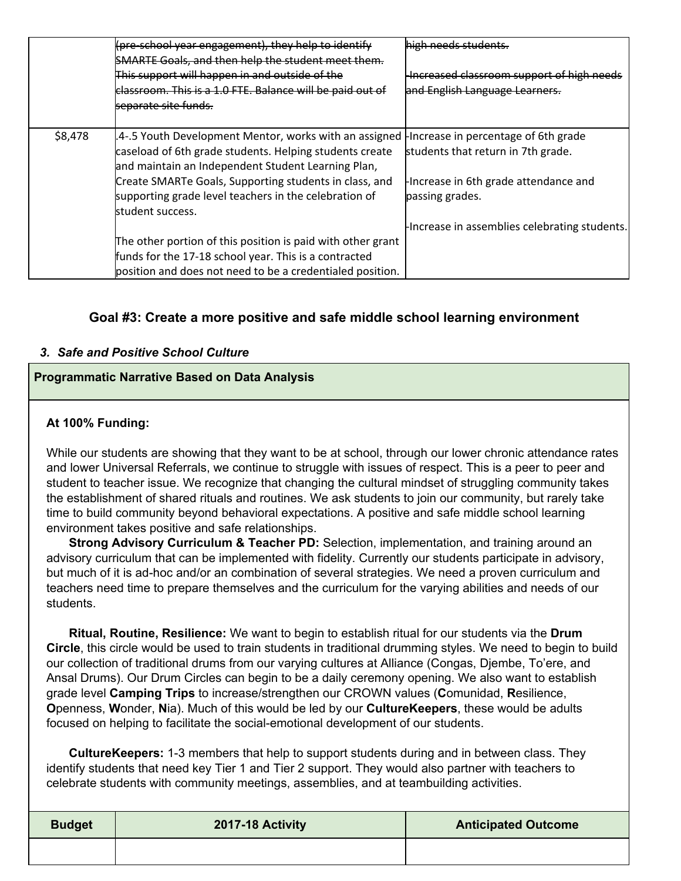|         | (fore school year engagement), they help to identify        | high needs students                          |
|---------|-------------------------------------------------------------|----------------------------------------------|
|         | <b>SMARTE Goals, and then help the student meet them.</b>   |                                              |
|         | This support will happen in and outside of the              | Increased classroom support of high needs    |
|         | classroom. This is a 1.0 FTE. Balance will be paid out of   | and English Language Learners.               |
|         | <del>separate site funds.</del>                             |                                              |
|         |                                                             |                                              |
| \$8,478 | .4-.5 Youth Development Mentor, works with an assigned      | Increase in percentage of 6th grade          |
|         | caseload of 6th grade students. Helping students create     | students that return in 7th grade.           |
|         | and maintain an Independent Student Learning Plan,          |                                              |
|         | Create SMARTe Goals, Supporting students in class, and      | Increase in 6th grade attendance and         |
|         | supporting grade level teachers in the celebration of       | passing grades.                              |
|         | student success.                                            |                                              |
|         |                                                             | Increase in assemblies celebrating students. |
|         | The other portion of this position is paid with other grant |                                              |
|         | funds for the 17-18 school year. This is a contracted       |                                              |
|         | position and does not need to be a credentialed position.   |                                              |

## **Goal #3: Create a more positive and safe middle school learning environment**

### *3. Safe and Positive School Culture*

### **Programmatic Narrative Based on Data Analysis**

### **At 100% Funding:**

While our students are showing that they want to be at school, through our lower chronic attendance rates and lower Universal Referrals, we continue to struggle with issues of respect. This is a peer to peer and student to teacher issue. We recognize that changing the cultural mindset of struggling community takes the establishment of shared rituals and routines. We ask students to join our community, but rarely take time to build community beyond behavioral expectations. A positive and safe middle school learning environment takes positive and safe relationships.

**Strong Advisory Curriculum & Teacher PD:** Selection, implementation, and training around an advisory curriculum that can be implemented with fidelity. Currently our students participate in advisory, but much of it is ad-hoc and/or an combination of several strategies. We need a proven curriculum and teachers need time to prepare themselves and the curriculum for the varying abilities and needs of our students.

**Ritual, Routine, Resilience:** We want to begin to establish ritual for our students via the **Drum Circle**, this circle would be used to train students in traditional drumming styles. We need to begin to build our collection of traditional drums from our varying cultures at Alliance (Congas, Djembe, To'ere, and Ansal Drums). Our Drum Circles can begin to be a daily ceremony opening. We also want to establish grade level **Camping Trips** to increase/strengthen our CROWN values (**C**omunidad, **R**esilience, **O**penness, **W**onder, **N**ia). Much of this would be led by our **CultureKeepers**, these would be adults focused on helping to facilitate the social-emotional development of our students.

**CultureKeepers:** 1-3 members that help to support students during and in between class. They identify students that need key Tier 1 and Tier 2 support. They would also partner with teachers to celebrate students with community meetings, assemblies, and at teambuilding activities.

| <b>Budget</b> | 2017-18 Activity | <b>Anticipated Outcome</b> |
|---------------|------------------|----------------------------|
|               |                  |                            |